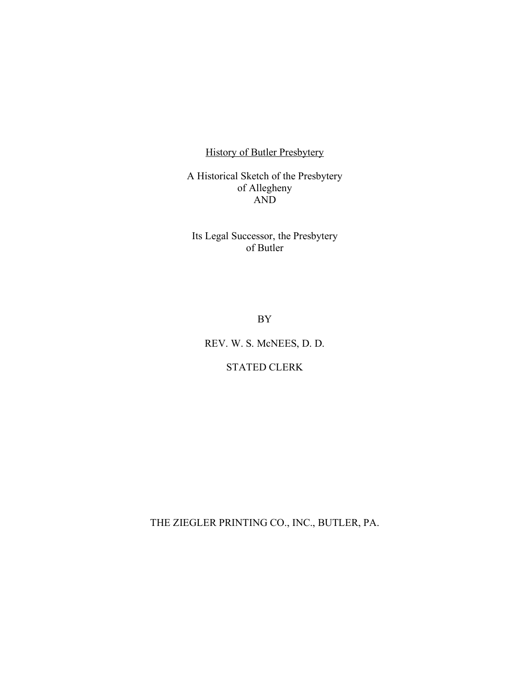History of Butler Presbytery

A Historical Sketch of the Presbytery of Allegheny AND

Its Legal Successor, the Presbytery of Butler

BY

REV. W. S. McNEES, D. D.

# STATED CLERK

THE ZIEGLER PRINTING CO., INC., BUTLER, PA.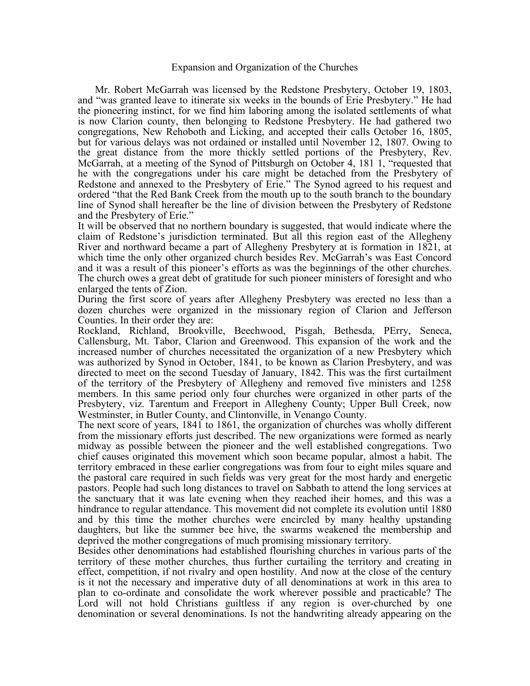### Expansion and Organization of the Churches

Mr. Robert McGarrah was licensed by the Redstone Presbytery, October 19, 1803, and "was granted leave to itinerate six weeks in the bounds of Erie Presbytery." He had the pioneering instinct, for we find him laboring among the isolated settlements of what is now Clarion county, then belonging to Redstone Presbytery. He had gathered two congregations, New Rehoboth and Licking, and accepted their calls October 16, 1805, but for various delays was not ordained or installed until November 12, 1807. Owing to the great distance from the more thickly settled portions of the Presbytery, Rev. McGarrah, at a meeting of the Synod of Pittsburgh on October 4, 181 1, "requested that he with the congregations under his care might be detached from the Presbytery of Redstone and annexed to the Presbytery of Erie." The Synod agreed to his request and ordered "that the Red Bank Creek from the mouth up to the south branch to the boundary line of Synod shall hereafter be the line of division between the Presbytery of Redstone and the Presbytery of Erie."

It will be observed that no northern boundary is suggested, that would indicate where the claim of Redstone's jurisdiction terminated. But all this region east of the Allegheny River and northward became a part of Allegheny Presbytery at is formation in 1821, at which time the only other organized church besides Rev. McGarrah's was East Concord and it was a result of this pioneer's efforts as was the beginnings of the other churches. The church owes a great debt of gratitude for such pioneer ministers of foresight and who enlarged the tents of Zion.

During the first score of years after Allegheny Presbytery was erected no less than a dozen churches were organized in the missionary region of Clarion and Jefferson Counties. In their order they are:

Rockland, Richland, Brookville, Beechwood, Pisgah, Bethesda, PErry, Seneca, Callensburg, Mt. Tabor, Clarion and Greenwood. This expansion of the work and the increased number of churches necessitated the organization of a new Presbytery which was authorized by Synod in October, 1841, to be known as Clarion Presbytery, and was directed to meet on the second Tuesday of January, 1842. This was the first curtailment of the territory of the Presbytery of Allegheny and removed five ministers and 1258 members. In this same period only four churches were organized in other parts of the Presbytery, viz. Tarentum and Freeport in Allegheny County; Upper Bull Creek, now Westminster, in Butler County, and Clintonville, in Venango County.

The next score of years, 1841 to 1861, the organization of churches was wholly different from the missionary efforts just described. The new organizations were formed as nearly midway as possible between the pioneer and the well established congregations. Two chief causes originated this movement which soon became popular, almost a habit. The territory embraced in these earlier congregations was from four to eight miles square and the pastoral care required in such fields was very great for the most hardy and energetic pastors. People had such long distances to travel on Sabbath to attend the long services at the sanctuary that it was late evening when they reached iheir homes, and this was a hindrance to regular attendance. This movement did not complete its evolution until 1880 and by this time the mother churches were encircled by many healthy upstanding daughters, but like the summer bee hive, the swarms weakened the membership and deprived the mother congregations of much promising missionary territory.

Besides other denominations had established flourishing churches in various parts of the territory of these mother churches, thus further curtailing the territory and creating in effect, competition, if not rivalry and open hostility. And now at the close of the century is it not the necessary and imperative duty of all denominations at work in this area to plan to co-ordinate and consolidate the work wherever possible and practicable? The Lord will not hold Christians guiltless if any region is over-churched by one denomination or several denominations. Is not the handwriting already appearing on the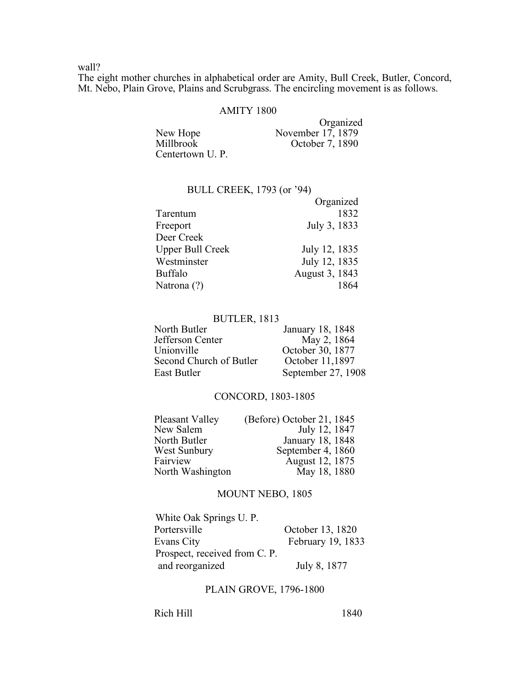wall?

The eight mother churches in alphabetical order are Amity, Bull Creek, Butler, Concord, Mt. Nebo, Plain Grove, Plains and Scrubgrass. The encircling movement is as follows.

## AMITY 1800

|                 | Organized         |
|-----------------|-------------------|
| New Hope        | November 17, 1879 |
| Millbrook       | October 7, 1890   |
| Centertown U.P. |                   |

## BULL CREEK, 1793 (or '94)

|                         | Organized      |
|-------------------------|----------------|
| Tarentum                | 1832           |
| Freeport                | July 3, 1833   |
| Deer Creek              |                |
| <b>Upper Bull Creek</b> | July 12, 1835  |
| Westminster             | July 12, 1835  |
| <b>Buffalo</b>          | August 3, 1843 |
| Natrona (?)             |                |

### BUTLER, 1813

| North Butler            | January 18, 1848   |
|-------------------------|--------------------|
| Jefferson Center        | May 2, 1864        |
| Unionville              | October 30, 1877   |
| Second Church of Butler | October 11,1897    |
| East Butler             | September 27, 1908 |

# CONCORD, 1803-1805

| Pleasant Valley     | (Before) October 21, 1845 |
|---------------------|---------------------------|
| New Salem           | July 12, 1847             |
| North Butler        | January 18, 1848          |
| <b>West Sunbury</b> | September 4, 1860         |
| Fairview            | August 12, 1875           |
| North Washington    | May 18, 1880              |

# MOUNT NEBO, 1805

| White Oak Springs U. P.       |                   |
|-------------------------------|-------------------|
| Portersville                  | October 13, 1820  |
| Evans City                    | February 19, 1833 |
| Prospect, received from C. P. |                   |
| and reorganized               | July 8, 1877      |

# PLAIN GROVE, 1796-1800

Rich Hill 1840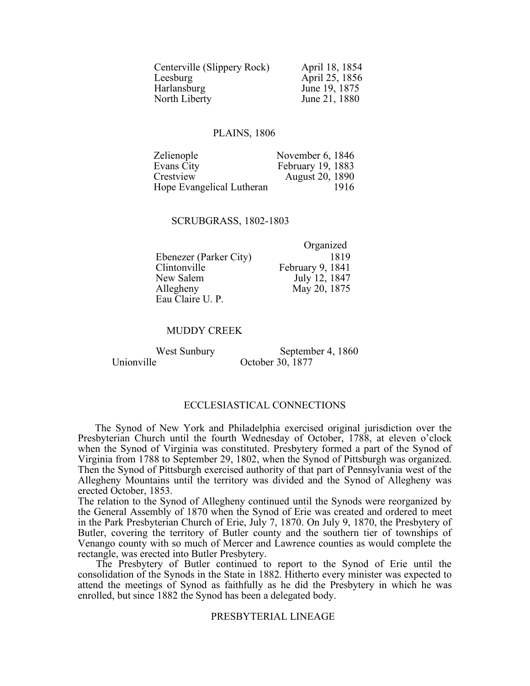| Centerville (Slippery Rock) | April 18, 1854 |
|-----------------------------|----------------|
| Leesburg                    | April 25, 1856 |
| Harlansburg                 | June 19, 1875  |
| North Liberty               | June 21, 1880  |

# PLAINS, 1806

| November 6, 1846       |
|------------------------|
| February 19, 1883      |
| <b>August 20, 1890</b> |
| 1916                   |
|                        |

### SCRUBGRASS, 1802-1803

|                        | Urganizeu        |
|------------------------|------------------|
| Ebenezer (Parker City) | 1819             |
| Clintonville           | February 9, 1841 |
| New Salem              | July 12, 1847    |
| Allegheny              | May 20, 1875     |
| Eau Claire U. P.       |                  |

# MUDDY CREEK

West Sunbury September 4, 1860<br>Unionville October 30, 1877 October 30, 1877

 $O<sub>mean</sub>$ ized

# ECCLESIASTICAL CONNECTIONS

The Synod of New York and Philadelphia exercised original jurisdiction over the Presbyterian Church until the fourth Wednesday of October, 1788, at eleven o'clock when the Synod of Virginia was constituted. Presbytery formed a part of the Synod of Virginia from 1788 to September 29, 1802, when the Synod of Pittsburgh was organized. Then the Synod of Pittsburgh exercised authority of that part of Pennsylvania west of the Allegheny Mountains until the territory was divided and the Synod of Allegheny was erected October, 1853.

The relation to the Synod of Allegheny continued until the Synods were reorganized by the General Assembly of 1870 when the Synod of Erie was created and ordered to meet in the Park Presbyterian Church of Erie, July 7, 1870. On July 9, 1870, the Presbytery of Butler, covering the territory of Butler county and the southern tier of townships of Venango county with so much of Mercer and Lawrence counties as would complete the rectangle, was erected into Butler Presbytery.

The Presbytery of Butler continued to report to the Synod of Erie until the consolidation of the Synods in the State in 1882. Hitherto every minister was expected to attend the meetings of Synod as faithfully as he did the Presbytery in which he was enrolled, but since 1882 the Synod has been a delegated body.

## PRESBYTERIAL LINEAGE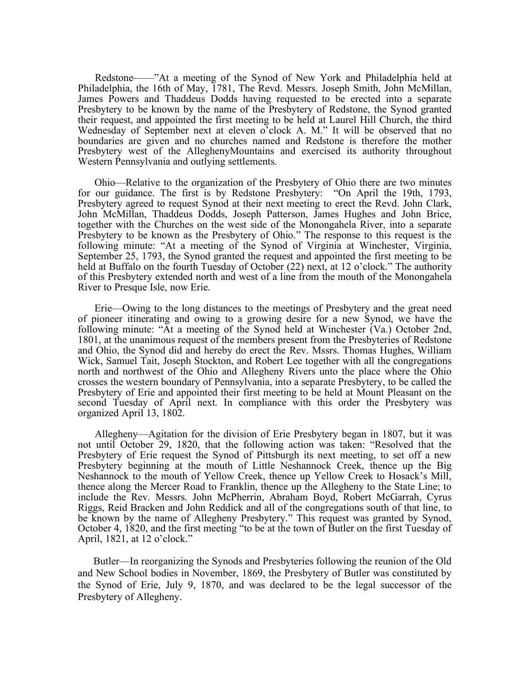Redstone——"At a meeting of the Synod of New York and Philadelphia held at Philadelphia, the 16th of May, 1781, The Revd. Messrs. Joseph Smith, John McMillan, James Powers and Thaddeus Dodds having requested to be erected into a separate Presbytery to be known by the name of the Presbytery of Redstone, the Synod granted their request, and appointed the first meeting to be held at Laurel Hill Church, the third Wednesday of September next at eleven o'clock A. M." It will be observed that no boundaries are given and no churches named and Redstone is therefore the mother Presbytery west of the AlleghenyMountains and exercised its authority throughout Western Pennsylvania and outlying settlements.

Ohio—Relative to the organization of the Presbytery of Ohio there are two minutes for our guidance. The first is by Redstone Presbytery: "On April the 19th, 1793, Presbytery agreed to request Synod at their next meeting to erect the Revd. John Clark, John McMillan, Thaddeus Dodds, Joseph Patterson, James Hughes and John Brice, together with the Churches on the west side of the Monongahela River, into a separate Presbytery to be known as the Presbytery of Ohio." The response to this request is the following minute: "At a meeting of the Synod of Virginia at Winchester, Virginia, September 25, 1793, the Synod granted the request and appointed the first meeting to be held at Buffalo on the fourth Tuesday of October (22) next, at 12 o'clock." The authority of this Presbytery extended north and west of a line from the mouth of the Monongahela River to Presque Isle, now Erie.

Erie—Owing to the long distances to the meetings of Presbytery and the great need of pioneer itinerating and owing to a growing desire for a new Synod, we have the following minute: "At a meeting of the Synod held at Winchester (Va.) October 2nd, 1801, at the unanimous request of the members present from the Presbyteries of Redstone and Ohio, the Synod did and hereby do erect the Rev. Mssrs. Thomas Hughes, William Wick, Samuel Tait, Joseph Stockton, and Robert Lee together with all the congregations north and northwest of the Ohio and Allegheny Rivers unto the place where the Ohio crosses the western boundary of Pennsylvania, into a separate Presbytery, to be called the Presbytery of Erie and appointed their first meeting to be held at Mount Pleasant on the second Tuesday of April next. In compliance with this order the Presbytery was organized April 13, 1802.

Allegheny—Agitation for the division of Erie Presbytery began in 1807, but it was not until October 29, 1820, that the following action was taken: "Resolved that the Presbytery of Erie request the Synod of Pittsburgh its next meeting, to set off a new Presbytery beginning at the mouth of Little Neshannock Creek, thence up the Big Neshannock to the mouth of Yellow Creek, thence up Yellow Creek to Hosack's Mill, thence along the Mercer Road to Franklin, thence up the Allegheny to the State Line; to include the Rev. Messrs. John McPherrin, Abraham Boyd, Robert McGarrah, Cyrus Riggs, Reid Bracken and John Reddick and all of the congregations south of that line, to be known by the name of Allegheny Presbytery." This request was granted by Synod, October 4, 1820, and the first meeting "to be at the town of Butler on the first Tuesday of April, 1821, at 12 o'clock."

Butler—In reorganizing the Synods and Presbyteries following the reunion of the Old and New School bodies in November, 1869, the Presbytery of Butler was constituted by the Synod of Erie, July 9, 1870, and was declared to be the legal successor of the Presbytery of Allegheny.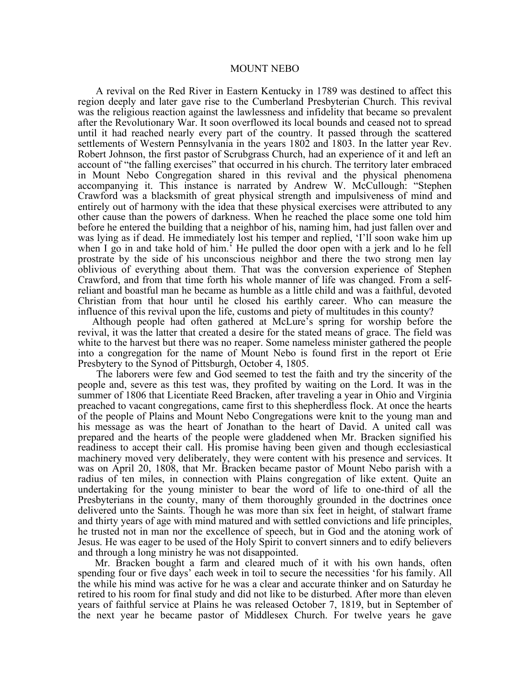#### MOUNT NEBO

A revival on the Red River in Eastern Kentucky in 1789 was destined to affect this region deeply and later gave rise to the Cumberland Presbyterian Church. This revival was the religious reaction against the lawlessness and infidelity that became so prevalent after the Revolutionary War. It soon overflowed its local bounds and ceased not to spread until it had reached nearly every part of the country. It passed through the scattered settlements of Western Pennsylvania in the years 1802 and 1803. In the latter year Rev. Robert Johnson, the first pastor of Scrubgrass Church, had an experience of it and left an account of "the falling exercises" that occurred in his church. The territory later embraced in Mount Nebo Congregation shared in this revival and the physical phenomena accompanying it. This instance is narrated by Andrew W. McCullough: "Stephen Crawford was a blacksmith of great physical strength and impulsiveness of mind and entirely out of harmony with the idea that these physical exercises were attributed to any other cause than the powers of darkness. When he reached the place some one told him before he entered the building that a neighbor of his, naming him, had just fallen over and was lying as if dead. He immediately lost his temper and replied, 'I'll soon wake him up when I go in and take hold of him.' He pulled the door open with a jerk and lo he fell prostrate by the side of his unconscious neighbor and there the two strong men lay oblivious of everything about them. That was the conversion experience of Stephen Crawford, and from that time forth his whole manner of life was changed. From a selfreliant and boastful man he became as humble as a little child and was a faithful, devoted Christian from that hour until he closed his earthly career. Who can measure the influence of this revival upon the life, customs and piety of multitudes in this county?

Although people had often gathered at McLure's spring for worship before the revival, it was the latter that created a desire for the stated means of grace. The field was white to the harvest but there was no reaper. Some nameless minister gathered the people into a congregation for the name of Mount Nebo is found first in the report ot Erie Presbytery to the Synod of Pittsburgh, October 4, 1805.

The laborers were few and God seemed to test the faith and try the sincerity of the people and, severe as this test was, they profited by waiting on the Lord. It was in the summer of 1806 that Licentiate Reed Bracken, after traveling a year in Ohio and Virginia preached to vacant congregations, came first to this shepherdless flock. At once the hearts of the people of Plains and Mount Nebo Congregations were knit to the young man and his message as was the heart of Jonathan to the heart of David. A united call was prepared and the hearts of the people were gladdened when Mr. Bracken signified his readiness to accept their call. His promise having been given and though ecclesiastical machinery moved very deliberately, they were content with his presence and services. It was on April 20, 1808, that Mr. Bracken became pastor of Mount Nebo parish with a radius of ten miles, in connection with Plains congregation of like extent. Quite an undertaking for the young minister to bear the word of life to one-third of all the Presbyterians in the county, many of them thoroughly grounded in the doctrines once delivered unto the Saints. Though he was more than six feet in height, of stalwart frame and thirty years of age with mind matured and with settled convictions and life principles, he trusted not in man nor the excellence of speech, but in God and the atoning work of Jesus. He was eager to be used of the Holy Spirit to convert sinners and to edify believers and through a long ministry he was not disappointed.

Mr. Bracken bought a farm and cleared much of it with his own hands, often spending four or five days' each week in toil to secure the necessities 'for his family. All the while his mind was active for he was a clear and accurate thinker and on Saturday he retired to his room for final study and did not like to be disturbed. After more than eleven years of faithful service at Plains he was released October 7, 1819, but in September of the next year he became pastor of Middlesex Church. For twelve years he gave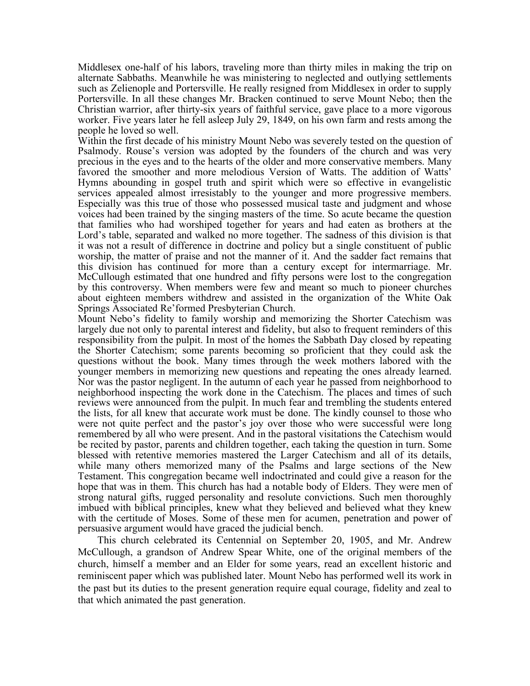Middlesex one-half of his labors, traveling more than thirty miles in making the trip on alternate Sabbaths. Meanwhile he was ministering to neglected and outlying settlements such as Zelienople and Portersville. He really resigned from Middlesex in order to supply Portersville. In all these changes Mr. Bracken continued to serve Mount Nebo; then the Christian warrior, after thirty-six years of faithful service, gave place to a more vigorous worker. Five years later he fell asleep July 29, 1849, on his own farm and rests among the people he loved so well.

Within the first decade of his ministry Mount Nebo was severely tested on the question of Psalmody. Rouse's version was adopted by the founders of the church and was very precious in the eyes and to the hearts of the older and more conservative members. Many favored the smoother and more melodious Version of Watts. The addition of Watts' Hymns abounding in gospel truth and spirit which were so effective in evangelistic Especially was this true of those who possessed musical taste and judgment and whose voices had been trained by the singing masters of the time. So acute became the question that families who had worshiped together for years and had eaten as brothers at the Lord's table, separated and walked no more together. The sadness of this division is that it was not a result of difference in doctrine and policy but a single constituent of public worship, the matter of praise and not the manner of it. And the sadder fact remains that this division has continued for more than a century except for intermarriage. Mr. McCullough estimated that one hundred and fifty persons were lost to the congregation by this controversy. When members were few and meant so much to pioneer churches about eighteen members withdrew and assisted in the organization of the White Oak Springs Associated Re'formed Presbyterian Church.

Mount Nebo's fidelity to family worship and memorizing the Shorter Catechism was largely due not only to parental interest and fidelity, but also to frequent reminders of this responsibility from the pulpit. In most of the homes the Sabbath Day closed by repeating the Shorter Catechism; some parents becoming so proficient that they could ask the questions without the book. Many times through the week mothers labored with the younger members in memorizing new questions and repeating the ones already learned. Nor was the pastor negligent. In the autumn of each year he passed from neighborhood to neighborhood inspecting the work done in the Catechism. The places and times of such reviews were announced from the pulpit. In much fear and trembling the students entered the lists, for all knew that accurate work must be done. The kindly counsel to those who were not quite perfect and the pastor's joy over those who were successful were long remembered by all who were present. And in the pastoral visitations the Catechism would be recited by pastor, parents and children together, each taking the question in turn. Some blessed with retentive memories mastered the Larger Catechism and all of its details, while many others memorized many of the Psalms and large sections of the New Testament. This congregation became well indoctrinated and could give a reason for the hope that was in them. This church has had a notable body of Elders. They were men of strong natural gifts, rugged personality and resolute convictions. Such men thoroughly imbued with biblical principles, knew what they believed and believed what they knew with the certitude of Moses. Some of these men for acumen, penetration and power of persuasive argument would have graced the judicial bench.

This church celebrated its Centennial on September 20, 1905, and Mr. Andrew McCullough, a grandson of Andrew Spear White, one of the original members of the church, himself a member and an Elder for some years, read an excellent historic and reminiscent paper which was published later. Mount Nebo has performed well its work in the past but its duties to the present generation require equal courage, fidelity and zeal to that which animated the past generation.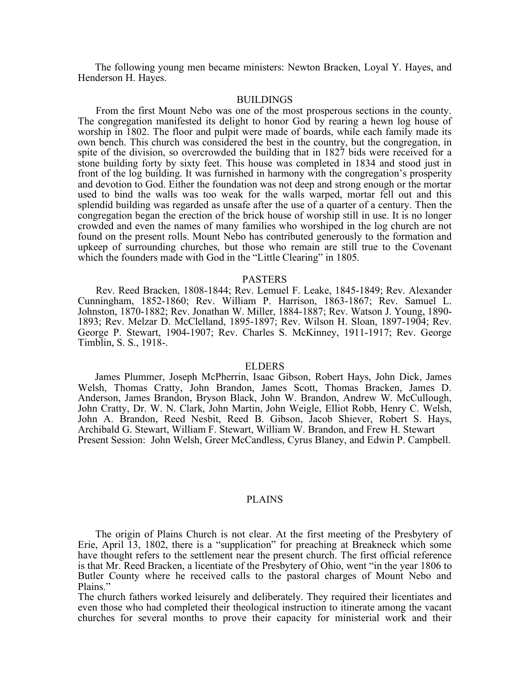The following young men became ministers: Newton Bracken, Loyal Y. Hayes, and Henderson H. Hayes.

# BUILDINGS

From the first Mount Nebo was one of the most prosperous sections in the county. The congregation manifested its delight to honor God by rearing a hewn log house of worship in 1802. The floor and pulpit were made of boards, while each family made its own bench. This church was considered the best in the country, but the congregation, in spite of the division, so overcrowded the building that in 1827 bids were received for a stone building forty by sixty feet. This house was completed in 1834 and stood just in front of the log building. It was furnished in harmony with the congregation's prosperity and devotion to God. Either the foundation was not deep and strong enough or the mortar used to bind the walls was too weak for the walls warped, mortar fell out and this splendid building was regarded as unsafe after the use of a quarter of a century. Then the congregation began the erection of the brick house of worship still in use. It is no longer crowded and even the names of many families who worshiped in the log church are not found on the present rolls. Mount Nebo has contributed generously to the formation and upkeep of surrounding churches, but those who remain are still true to the Covenant which the founders made with God in the "Little Clearing" in 1805.

### PASTERS

Rev. Reed Bracken, 1808-1844; Rev. Lemuel F. Leake, 1845-1849; Rev. Alexander Cunningham, 1852-1860; Rev. William P. Harrison, 1863-1867; Rev. Samuel L. Johnston, 1870-1882; Rev. Jonathan W. Miller, 1884-1887; Rev. Watson J. Young, 1890- 1893; Rev. Melzar D. McClelland, 1895-1897; Rev. Wilson H. Sloan, 1897-1904; Rev. George P. Stewart, 1904-1907; Rev. Charles S. McKinney, 1911-1917; Rev. George Timblin, S. S., 1918-.

### ELDERS

James Plummer, Joseph McPherrin, Isaac Gibson, Robert Hays, John Dick, James Welsh, Thomas Cratty, John Brandon, James Scott, Thomas Bracken, James D. Anderson, James Brandon, Bryson Black, John W. Brandon, Andrew W. McCullough, John Cratty, Dr. W. N. Clark, John Martin, John Weigle, Elliot Robb, Henry C. Welsh, John A. Brandon, Reed Nesbit, Reed B. Gibson, Jacob Shiever, Robert S. Hays, Archibald G. Stewart, William F. Stewart, William W. Brandon, and Frew H. Stewart Present Session: John Welsh, Greer McCandless, Cyrus Blaney, and Edwin P. Campbell.

## PLAINS

The origin of Plains Church is not clear. At the first meeting of the Presbytery of Erie, April 13, 1802, there is a "supplication" for preaching at Breakneck which some have thought refers to the settlement near the present church. The first official reference is that Mr. Reed Bracken, a licentiate of the Presbytery of Ohio, went "in the year 1806 to Butler County where he received calls to the pastoral charges of Mount Nebo and Plains."

The church fathers worked leisurely and deliberately. They required their licentiates and even those who had completed their theological instruction to itinerate among the vacant churches for several months to prove their capacity for ministerial work and their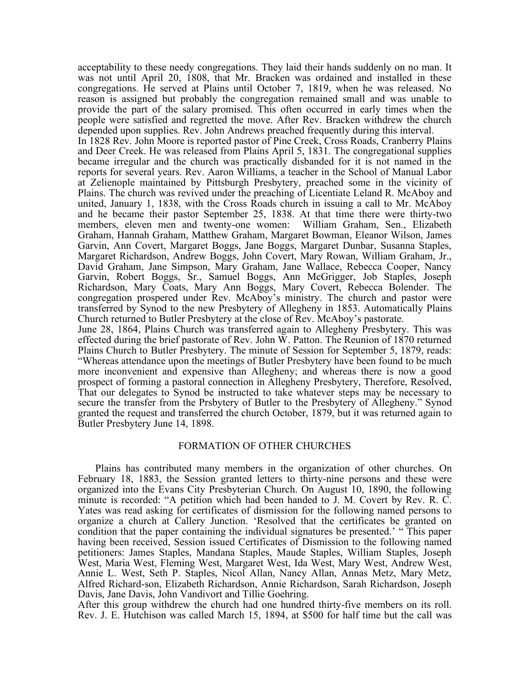acceptability to these needy congregations. They laid their hands suddenly on no man. It was not until April 20, 1808, that Mr. Bracken was ordained and installed in these congregations. He served at Plains until October 7, 1819, when he was released. No reason is assigned but probably the congregation remained small and was unable to provide the part of the salary promised. This often occurred in early times when the people were satisfied and regretted the move. After Rev. Bracken withdrew the church depended upon supplies. Rev. John Andrews preached frequently during this interval.

In 1828 Rev. John Moore is reported pastor of Pine Creek, Cross Roads, Cranberry Plains and Deer Creek. He was released from Plains April 5, 1831. The congregational supplies became irregular and the church was practically disbanded for it is not named in the reports for several years. Rev. Aaron Williams, a teacher in the School of Manual Labor at Zelienople maintained by Pittsburgh Presbytery, preached some in the vicinity of Plains. The church was revived under the preaching of Licentiate Leland R. McAboy and united, January 1, 1838, with the Cross Roads church in issuing a call to Mr. McAboy and he became their pastor September 25, 1838. At that time there were thirty-two members, eleven men and twenty-one women: William Graham, Sen., Elizabeth Graham, Hannah Graham, Matthew Graham, Margaret Bowman, Eleanor Wilson, James Garvin, Ann Covert, Margaret Boggs, Jane Boggs, Margaret Dunbar, Susanna Staples, Margaret Richardson, Andrew Boggs, John Covert, Mary Rowan, William Graham, Jr., David Graham, Jane Simpson, Mary Graham, Jane Wallace, Rebecca Cooper, Nancy Garvin, Robert Boggs, Sr., Samuel Boggs, Ann McGrigger, Job Staples, Joseph Richardson, Mary Coats, Mary Ann Boggs, Mary Covert, Rebecca Bolender. The congregation prospered under Rev. McAboy's ministry. The church and pastor were transferred by Synod to the new Presbytery of Allegheny in 1853. Automatically Plains Church returned to Butler Presbytery at the close of Rev. McAboy's pastorate.

June 28, 1864, Plains Church was transferred again to Allegheny Presbytery. This was effected during the brief pastorate of Rev. John W. Patton. The Reunion of 1870 returned Plains Church to Butler Presbytery. The minute of Session for September 5, 1879, reads: "Whereas attendance upon the meetings of Butler Presbytery have been found to be much more inconvenient and expensive than Allegheny; and whereas there is now a good prospect of forming a pastoral connection in Allegheny Presbytery, Therefore, Resolved, That our delegates to Synod be instructed to take whatever steps may be necessary to secure the transfer from the Prsbytery of Butler to the Presbytery of Allegheny." Synod granted the request and transferred the church October, 1879, but it was returned again to Butler Presbytery June 14, 1898.

### FORMATION OF OTHER CHURCHES

Plains has contributed many members in the organization of other churches. On February 18, 1883, the Session granted letters to thirty-nine persons and these were organized into the Evans City Presbyterian Church. On August 10, 1890, the following minute is recorded: "A petition which had been handed to J. M. Covert by Rev. R. C. Yates was read asking for certificates of dismission for the following named persons to organize a church at Callery Junction. 'Resolved that the certificates be granted on condition that the paper containing the individual signatures be presented.' "This paper having been received, Session issued Certificates of Dismission to the following named petitioners: James Staples, Mandana Staples, Maude Staples, William Staples, Joseph West, Maria West, Fleming West, Margaret West, Ida West, Mary West, Andrew West, Annie L. West, Seth P. Staples, Nicol Allan, Nancy Allan, Annas Metz, Mary Metz, Alfred Richard-son, Elizabeth Richardson, Annie Richardson, Sarah Richardson, Joseph Davis, Jane Davis, John Vandivort and Tillie Goehring.

After this group withdrew the church had one hundred thirty-five members on its roll. Rev. J. E. Hutchison was called March 15, 1894, at \$500 for half time but the call was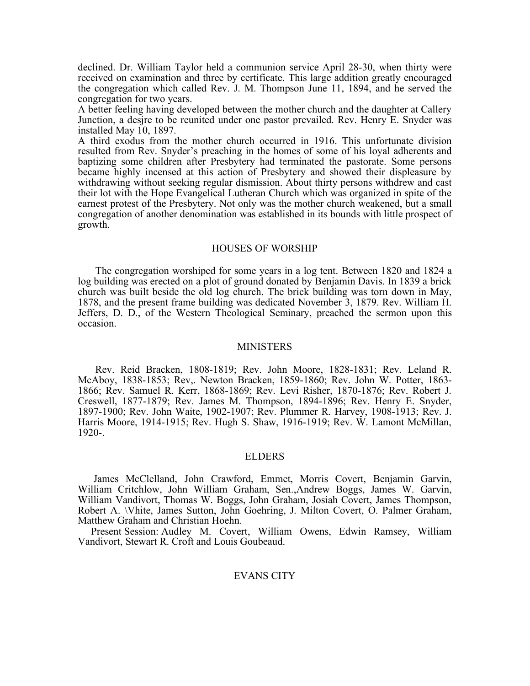declined. Dr. William Taylor held a communion service April 28-30, when thirty were received on examination and three by certificate. This large addition greatly encouraged the congregation which called Rev. J. M. Thompson June 11, 1894, and he served the congregation for two years.

A better feeling having developed between the mother church and the daughter at Callery Junction, a desjre to be reunited under one pastor prevailed. Rev. Henry E. Snyder was installed May 10, 1897.

A third exodus from the mother church occurred in 1916. This unfortunate division resulted from Rev. Snyder's preaching in the homes of some of his loyal adherents and baptizing some children after Presbytery had terminated the pastorate. Some persons became highly incensed at this action of Presbytery and showed their displeasure by withdrawing without seeking regular dismission. About thirty persons withdrew and cast their lot with the Hope Evangelical Lutheran Church which was organized in spite of the earnest protest of the Presbytery. Not only was the mother church weakened, but a small congregation of another denomination was established in its bounds with little prospect of growth.

### HOUSES OF WORSHIP

The congregation worshiped for some years in a log tent. Between 1820 and 1824 a log building was erected on a plot of ground donated by Benjamin Davis. In 1839 a brick church was built beside the old log church. The brick building was torn down in May, 1878, and the present frame building was dedicated November 3, 1879. Rev. William H. Jeffers, D. D., of the Western Theological Seminary, preached the sermon upon this occasion.

#### MINISTERS

Rev. Reid Bracken, 1808-1819; Rev. John Moore, 1828-1831; Rev. Leland R. McAboy, 1838-1853; Rev,. Newton Bracken, 1859-1860; Rev. John W. Potter, 1863- 1866; Rev. Samuel R. Kerr, 1868-1869; Rev. Levi Risher, 1870-1876; Rev. Robert J. Creswell, 1877-1879; Rev. James M. Thompson, 1894-1896; Rev. Henry E. Snyder, 1897-1900; Rev. John Waite, 1902-1907; Rev. Plummer R. Harvey, 1908-1913; Rev. J. Harris Moore, 1914-1915; Rev. Hugh S. Shaw, 1916-1919; Rev. W. Lamont McMillan, 1920-.

### ELDERS

James McClelland, John Crawford, Emmet, Morris Covert, Benjamin Garvin, William Critchlow, John William Graham, Sen.,Andrew Boggs, James W. Garvin, William Vandivort, Thomas W. Boggs, John Graham, Josiah Covert, James Thompson, Robert A. \Vhite, James Sutton, John Goehring, J. Milton Covert, O. Palmer Graham, Matthew Graham and Christian Hoehn.

Present Session: Audley M. Covert, William Owens, Edwin Ramsey, William Vandivort, Stewart R. Croft and Louis Goubeaud.

# EVANS CITY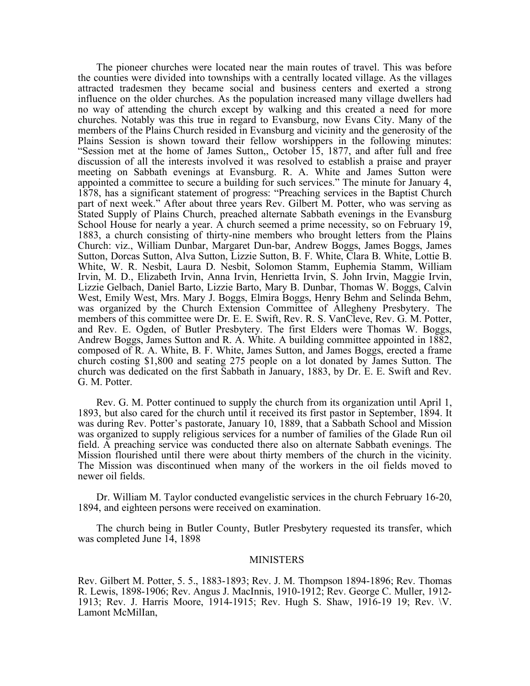The pioneer churches were located near the main routes of travel. This was before the counties were divided into townships with a centrally located village. As the villages attracted tradesmen they became social and business centers and exerted a strong influence on the older churches. As the population increased many village dwellers had no way of attending the church except by walking and this created a need for more churches. Notably was this true in regard to Evansburg, now Evans City. Many of the members of the Plains Church resided in Evansburg and vicinity and the generosity of the Plains Session is shown toward their fellow worshippers in the following minutes: "Session met at the home of James Sutton,, October 15, 1877, and after full and free discussion of all the interests involved it was resolved to establish a praise and prayer meeting on Sabbath evenings at Evansburg. R. A. White and James Sutton were appointed a committee to secure a building for such services." The minute for January 4, 1878, has a significant statement of progress: "Preaching services in the Baptist Church part of next week." After about three years Rev. Gilbert M. Potter, who was serving as Stated Supply of Plains Church, preached alternate Sabbath evenings in the Evansburg School House for nearly a year. A church seemed a prime necessity, so on February 19, 1883, a church consisting of thirty-nine members who brought letters from the Plains Church: viz., William Dunbar, Margaret Dun-bar, Andrew Boggs, James Boggs, James Sutton, Dorcas Sutton, Alva Sutton, Lizzie Sutton, B. F. White, Clara B. White, Lottie B. White, W. R. Nesbit, Laura D. Nesbit, Solomon Stamm, Euphemia Stamm, William Irvin, M. D., Elizabeth Irvin, Anna Irvin, Henrietta Irvin, S. John Irvin, Maggie Irvin, Lizzie Gelbach, Daniel Barto, Lizzie Barto, Mary B. Dunbar, Thomas W. Boggs, Calvin West, Emily West, Mrs. Mary J. Boggs, Elmira Boggs, Henry Behm and Selinda Behm, was organized by the Church Extension Committee of Allegheny Presbytery. The members of this committee were Dr. E. E. Swift, Rev. R. S. VanCleve, Rev. G. M. Potter, and Rev. E. Ogden, of Butler Presbytery. The first Elders were Thomas W. Boggs, Andrew Boggs, James Sutton and R. A. White. A building committee appointed in 1882, composed of R. A. White, B. F. White, James Sutton, and James Boggs, erected a frame church costing \$1,800 and seating 275 people on a lot donated by James Sutton. The church was dedicated on the first Sabbath in January, 1883, by Dr. E. E. Swift and Rev. G. M. Potter.

Rev. G. M. Potter continued to supply the church from its organization until April 1, 1893, but also cared for the church until it received its first pastor in September, 1894. It was during Rev. Potter's pastorate, January 10, 1889, that a Sabbath School and Mission was organized to supply religious services for a number of families of the Glade Run oil field. A preaching service was conducted there also on alternate Sabbath evenings. The Mission flourished until there were about thirty members of the church in the vicinity. The Mission was discontinued when many of the workers in the oil fields moved to newer oil fields.

Dr. William M. Taylor conducted evangelistic services in the church February 16-20, 1894, and eighteen persons were received on examination.

The church being in Butler County, Butler Presbytery requested its transfer, which was completed June 14, 1898

#### MINISTERS

Rev. Gilbert M. Potter, 5. 5., 1883-1893; Rev. J. M. Thompson 1894-1896; Rev. Thomas R. Lewis, 1898-1906; Rev. Angus J. MacInnis, 1910-1912; Rev. George C. Muller, 1912- 1913; Rev. J. Harris Moore, 1914-1915; Rev. Hugh S. Shaw, 1916-19 19; Rev. \V. Lamont McMilIan,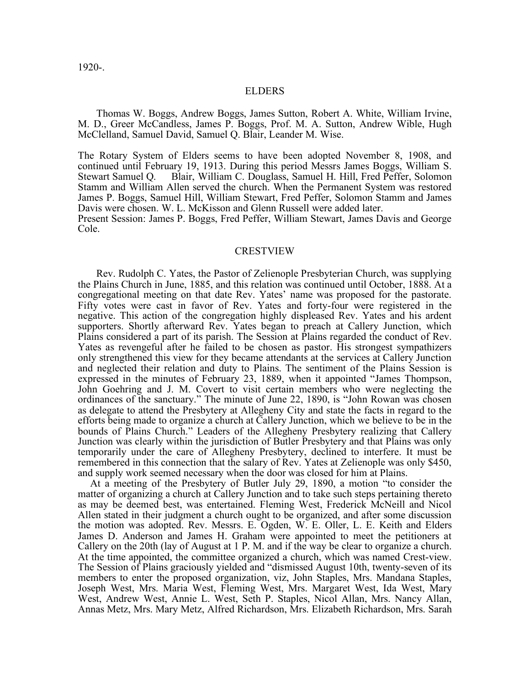1920-.

### ELDERS

Thomas W. Boggs, Andrew Boggs, James Sutton, Robert A. White, William Irvine, M. D., Greer McCandless, James P. Boggs, Prof. M. A. Sutton, Andrew Wible, Hugh McClelland, Samuel David, Samuel Q. Blair, Leander M. Wise.

The Rotary System of Elders seems to have been adopted November 8, 1908, and continued until February 19, 1913. During this period Messrs James Boggs, William S. Stewart Samuel Q. Blair, William C. Douglass, Samuel H. Hill, Fred Peffer, Solomon Stamm and William Allen served the church. When the Permanent System was restored James P. Boggs, Samuel Hill, William Stewart, Fred Peffer, Solomon Stamm and James Davis were chosen. W. L. McKisson and Glenn Russell were added later.

Present Session: James P. Boggs, Fred Peffer, William Stewart, James Davis and George Cole.

#### CRESTVIEW

Rev. Rudolph C. Yates, the Pastor of Zelienople Presbyterian Church, was supplying the Plains Church in June, 1885, and this relation was continued until October, 1888. At a congregational meeting on that date Rev. Yates' name was proposed for the pastorate. Fifty votes were cast in favor of Rev. Yates and forty-four were registered in the negative. This action of the congregation highly displeased Rev. Yates and his ardent supporters. Shortly afterward Rev. Yates began to preach at Callery Junction, which Plains considered a part of its parish. The Session at Plains regarded the conduct of Rev. Yates as revengeful after he failed to be chosen as pastor. His strongest sympathizers only strengthened this view for they became attendants at the services at Callery Junction and neglected their relation and duty to Plains. The sentiment of the Plains Session is expressed in the minutes of February 23, 1889, when it appointed "James Thompson, John Goehring and J. M. Covert to visit certain members who were neglecting the ordinances of the sanctuary." The minute of June 22, 1890, is "John Rowan was chosen as delegate to attend the Presbytery at Allegheny City and state the facts in regard to the efforts being made to organize a church at Callery Junction, which we believe to be in the bounds of Plains Church." Leaders of the Allegheny Presbytery realizing that Callery Junction was clearly within the jurisdiction of Butler Presbytery and that Plains was only temporarily under the care of Allegheny Presbytery, declined to interfere. It must be remembered in this connection that the salary of Rev. Yates at Zelienople was only \$450, and supply work seemed necessary when the door was closed for him at Plains.

At a meeting of the Presbytery of Butler July 29, 1890, a motion "to consider the matter of organizing a church at Callery Junction and to take such steps pertaining thereto as may be deemed best, was entertained. Fleming West, Frederick McNeill and Nicol Allen stated in their judgment a church ought to be organized, and after some discussion the motion was adopted. Rev. Messrs. E. Ogden, W. E. Oller, L. E. Keith and Elders James D. Anderson and James H. Graham were appointed to meet the petitioners at Callery on the 20th (lay of August at 1 P. M. and if the way be clear to organize a church. At the time appointed, the committee organized a church, which was named Crest-view. The Session of Plains graciously yielded and "dismissed August 10th, twenty-seven of its members to enter the proposed organization, viz, John Staples, Mrs. Mandana Staples, Joseph West, Mrs. Maria West, Fleming West, Mrs. Margaret West, Ida West, Mary West, Andrew West, Annie L. West, Seth P. Staples, Nicol Allan, Mrs. Nancy Allan, Annas Metz, Mrs. Mary Metz, Alfred Richardson, Mrs. Elizabeth Richardson, Mrs. Sarah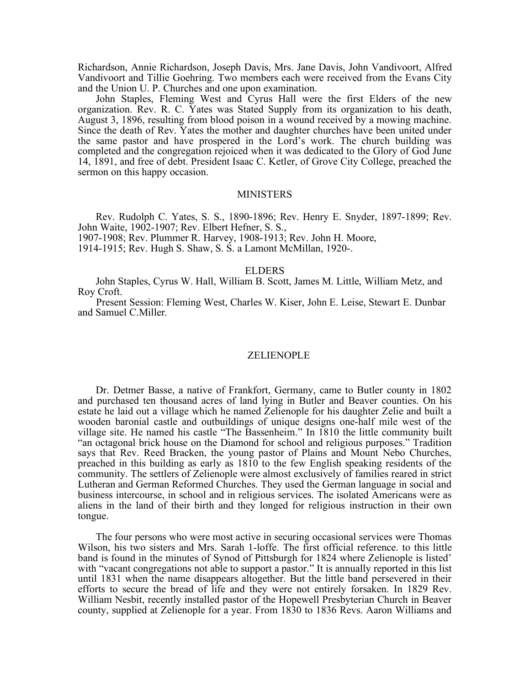Richardson, Annie Richardson, Joseph Davis, Mrs. Jane Davis, John Vandivoort, Alfred Vandivoort and Tillie Goehring. Two members each were received from the Evans City and the Union U. P. Churches and one upon examination.

John Staples, Fleming West and Cyrus Hall were the first Elders of the new organization. Rev. R. C. Yates was Stated Supply from its organization to his death, August 3, 1896, resulting from blood poison in a wound received by a mowing machine. Since the death of Rev. Yates the mother and daughter churches have been united under the same pastor and have prospered in the Lord's work. The church building was completed and the congregation rejoiced when it was dedicated to the Glory of God June 14, 1891, and free of debt. President Isaac C. Ketler, of Grove City College, preached the sermon on this happy occasion.

#### **MINISTERS**

Rev. Rudolph C. Yates, S. S., 1890-1896; Rev. Henry E. Snyder, 1897-1899; Rev. John Waite, 1902-1907; Rev. Elbert Hefner, S. S.,

1907-1908; Rev. Plummer R. Harvey, 1908-1913; Rev. John H. Moore,

1914-1915; Rev. Hugh S. Shaw, S. S. a Lamont McMillan, 1920-.

#### ELDERS

John Staples, Cyrus W. Hall, William B. Scott, James M. Little, William Metz, and Roy Croft.

Present Session: Fleming West, Charles W. Kiser, John E. Leise, Stewart E. Dunbar and Samuel C.Miller.

#### ZELIENOPLE

Dr. Detmer Basse, a native of Frankfort, Germany, came to Butler county in 1802 and purchased ten thousand acres of land lying in Butler and Beaver counties. On his estate he laid out a village which he named Zelienople for his daughter Zelie and built a wooden baronial castle and outbuildings of unique designs one-half mile west of the village site. He named his castle "The Bassenheim." In 1810 the little community built "an octagonal brick house on the Diamond for school and religious purposes." Tradition says that Rev. Reed Bracken, the young pastor of Plains and Mount Nebo Churches, preached in this building as early as 1810 to the few English speaking residents of the community. The settlers of Zelienople were almost exclusively of families reared in strict Lutheran and German Reformed Churches. They used the German language in social and business intercourse, in school and in religious services. The isolated Americans were as aliens in the land of their birth and they longed for religious instruction in their own tongue.

The four persons who were most active in securing occasional services were Thomas Wilson, his two sisters and Mrs. Sarah 1-loffe. The first official reference. to this little band is found in the minutes of Synod of Pittsburgh for 1824 where Zelienople is listed' with "vacant congregations not able to support a pastor." It is annually reported in this list until 1831 when the name disappears altogether. But the little band persevered in their efforts to secure the bread of life and they were not entirely forsaken. In 1829 Rev. William Nesbit, recently installed pastor of the Hopewell Presbyterian Church in Beaver county, supplied at Zelienople for a year. From 1830 to 1836 Revs. Aaron Williams and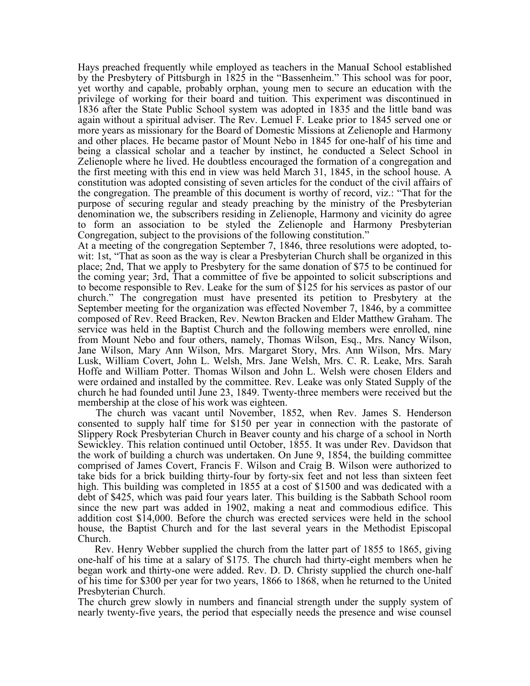Hays preached frequently while employed as teachers in the ManuaI School established by the Presbytery of Pittsburgh in 1825 in the "Bassenheim." This school was for poor, yet worthy and capable, probably orphan, young men to secure an education with the privilege of working for their board and tuition. This experiment was discontinued in 1836 after the State Public School system was adopted in 1835 and the little band was again without a spiritual adviser. The Rev. Lemuel F. Leake prior to 1845 served one or more years as missionary for the Board of Domestic Missions at Zelienople and Harmony and other places. He became pastor of Mount Nebo in 1845 for one-half of his time and being a classical scholar and a teacher by instinct, he conducted a Select School in Zelienople where he lived. He doubtless encouraged the formation of a congregation and the first meeting with this end in view was held March 31, 1845, in the school house. A constitution was adopted consisting of seven articles for the conduct of the civil affairs of the congregation. The preamble of this document is worthy of record, viz.: "That for the purpose of securing regular and steady preaching by the ministry of the Presbyterian denomination we, the subscribers residing in Zelienople, Harmony and vicinity do agree to form an association to be styled the Zelienople and Harmony Presbyterian Congregation, subject to the provisions of the following constitution."

At a meeting of the congregation September 7, 1846, three resolutions were adopted, towit: 1st, "That as soon as the way is clear a Presbyterian Church shall be organized in this place; 2nd, That we apply to Presbytery for the same donation of \$75 to be continued for the coming year; 3rd, That a committee of five be appointed to solicit subscriptions and to become responsible to Rev. Leake for the sum of \$125 for his services as pastor of our church." The congregation must have presented its petition to Presbytery at the September meeting for the organization was effected November 7, 1846, by a committee composed of Rev. Reed Bracken, Rev. Newton Bracken and Elder Matthew Graham. The service was held in the Baptist Church and the following members were enrolled, nine from Mount Nebo and four others, namely, Thomas Wilson, Esq., Mrs. Nancy Wilson, Jane Wilson, Mary Ann Wilson, Mrs. Margaret Story, Mrs. Ann Wilson, Mrs. Mary Lusk, William Covert, John L. Welsh, Mrs. Jane Welsh, Mrs. C. R. Leake, Mrs. Sarah Hoffe and William Potter. Thomas Wilson and John L. Welsh were chosen Elders and were ordained and installed by the committee. Rev. Leake was only Stated Supply of the church he had founded until June 23, 1849. Twenty-three members were received but the membership at the close of his work was eighteen.

The church was vacant until November, 1852, when Rev. James S. Henderson consented to supply half time for \$150 per year in connection with the pastorate of Slippery Rock Presbyterian Church in Beaver county and his charge of a school in North Sewickley. This relation continued until October, 1855. It was under Rev. Davidson that the work of building a church was undertaken. On June 9, 1854, the building committee comprised of James Covert, Francis F. Wilson and Craig B. Wilson were authorized to take bids for a brick building thirty-four by forty-six feet and not less than sixteen feet high. This building was completed in 1855 at a cost of \$1500 and was dedicated with a debt of \$425, which was paid four years later. This building is the Sabbath School room since the new part was added in 1902, making a neat and commodious edifice. This addition cost \$14,000. Before the church was erected services were held in the school house, the Baptist Church and for the last several years in the Methodist Episcopal Church.

Rev. Henry Webber supplied the church from the latter part of 1855 to 1865, giving one-half of his time at a salary of \$175. The church had thirty-eight members when he began work and thirty-one were added. Rev. D. D. Christy supplied the church one-half of his time for \$300 per year for two years, 1866 to 1868, when he returned to the United Presbyterian Church.

The church grew slowly in numbers and financial strength under the supply system of nearly twenty-five years, the period that especially needs the presence and wise counsel